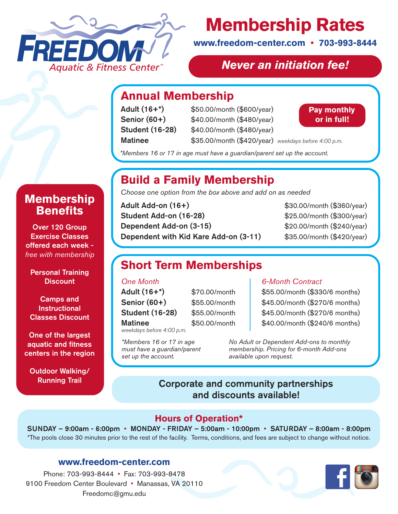

# **Membership Rates**

**www.freedom-center.com • 703-993-8444**

## *Never an initiation fee!*

## **Annual Membership**

Adult (16+\*) \$50.00/month (\$600/year) Senior (60+) \$40.00/month (\$480/year) Student (16-28) \$40.00/month (\$480/year) Matinee \$35.00/month (\$420/year) *weekdays before 4:00 p.m.*



*\*Members 16 or 17 in age must have a guardian/parent set up the account.*

# **Build a Family Membership**

*Choose one option from the box above and add on as needed*

**Adult Add-on (16+)**  $$30.00/month ($360/year)$ **Student Add-on (16-28)** \$25.00/month (\$300/year) Dependent Add-on (3-15) \$20.00/month (\$240/year) Dependent with Kid Kare Add-on (3-11) \$35.00/month (\$420/year)

# **Short Term Memberships**

#### *One Month*

Adult (16+\*) \$70.00/month Senior (60+) \$55.00/month **Student (16-28)** \$55.00/month Matinee \$50.00/month *weekdays before 4:00 p.m.*

*set up the account.*

*\*Members 16 or 17 in age must have a guardian/parent* 

#### *6-Month Contract*

\$55.00/month (\$330/6 months) \$45.00/month (\$270/6 months) \$45.00/month (\$270/6 months) \$40.00/month (\$240/6 months)

*No Adult or Dependent Add-ons to monthly membership. Pricing for 6-month Add-ons available upon request.*

## Corporate and community partnerships and discounts available!

#### **Hours of Operation\***

SUNDAY – 9:00am - 6:00pm • MONDAY - FRIDAY – 5:00am - 10:00pm • SATURDAY – 8:00am - 8:00pm \*The pools close 30 minutes prior to the rest of the facility. Terms, conditions, and fees are subject to change without notice.

#### **www.freedom-center.com**

Phone: 703-993-8444 • Fax: 703-993-8478 9100 Freedom Center Boulevard • Manassas, VA 20110 Freedomc@gmu.edu



## **Membership Benefits**

Over 120 Group Exercise Classes offered each week *free with membership*

Personal Training **Discount** 

Camps and **Instructional** Classes Discount

One of the largest aquatic and fitness centers in the region

Outdoor Walking/ Running Trail